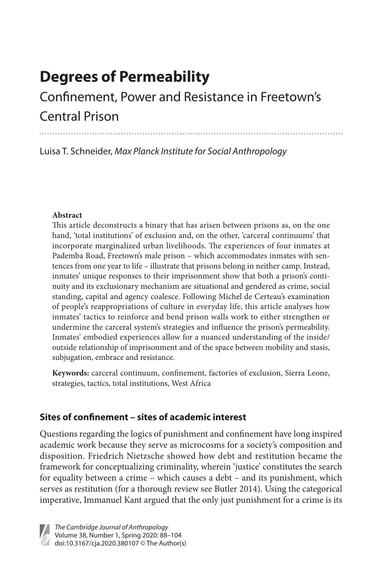# **Degrees of Permeability**

# Confinement, Power and Resistance in Freetown's Central Prison

Luisa T. Schneider, *Max Planck Institute for Social Anthropology*

## **Abstract**

This article deconstructs a binary that has arisen between prisons as, on the one hand, 'total institutions' of exclusion and, on the other, 'carceral continuums' that incorporate marginalized urban livelihoods. The experiences of four inmates at Pademba Road, Freetown's male prison – which accommodates inmates with sentences from one year to life – illustrate that prisons belong in neither camp. Instead, inmates' unique responses to their imprisonment show that both a prison's continuity and its exclusionary mechanism are situational and gendered as crime, social standing, capital and agency coalesce. Following Michel de Certeau's examination of people's reappropriations of culture in everyday life, this article analyses how inmates' tactics to reinforce and bend prison walls work to either strengthen or undermine the carceral system's strategies and influence the prison's permeability. Inmates' embodied experiences allow for a nuanced understanding of the inside/ outside relationship of imprisonment and of the space between mobility and stasis, subjugation, embrace and resistance.

**Keywords:** carceral continuum, confinement, factories of exclusion, Sierra Leone, strategies, tactics, total institutions, West Africa

# **Sites of confinement – sites of academic interest**

Questions regarding the logics of punishment and confinement have long inspired academic work because they serve as microcosms for a society's composition and disposition. Friedrich Nietzsche showed how debt and restitution became the framework for conceptualizing criminality, wherein 'justice' constitutes the search for equality between a crime – which causes a debt – and its punishment, which serves as restitution (for a thorough review see Butler 2014). Using the categorical imperative, Immanuel Kant argued that the only just punishment for a crime is its

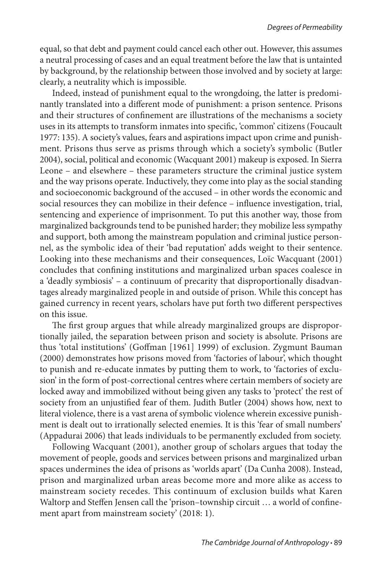equal, so that debt and payment could cancel each other out. However, this assumes a neutral processing of cases and an equal treatment before the law that is untainted by background, by the relationship between those involved and by society at large: clearly, a neutrality which is impossible.

Indeed, instead of punishment equal to the wrongdoing, the latter is predominantly translated into a different mode of punishment: a prison sentence. Prisons and their structures of confinement are illustrations of the mechanisms a society uses in its attempts to transform inmates into specific, 'common' citizens (Foucault 1977: 135). A society's values, fears and aspirations impact upon crime and punishment. Prisons thus serve as prisms through which a society's symbolic (Butler 2004), social, political and economic (Wacquant 2001) makeup is exposed. In Sierra Leone – and elsewhere – these parameters structure the criminal justice system and the way prisons operate. Inductively, they come into play as the social standing and socioeconomic background of the accused – in other words the economic and social resources they can mobilize in their defence – influence investigation, trial, sentencing and experience of imprisonment. To put this another way, those from marginalized backgrounds tend to be punished harder; they mobilize less sympathy and support, both among the mainstream population and criminal justice personnel, as the symbolic idea of their 'bad reputation' adds weight to their sentence. Looking into these mechanisms and their consequences, Loїc Wacquant (2001) concludes that confining institutions and marginalized urban spaces coalesce in a 'deadly symbiosis' – a continuum of precarity that disproportionally disadvantages already marginalized people in and outside of prison. While this concept has gained currency in recent years, scholars have put forth two different perspectives on this issue.

The first group argues that while already marginalized groups are disproportionally jailed, the separation between prison and society is absolute. Prisons are thus 'total institutions' (Goffman [1961] 1999) of exclusion. Zygmunt Bauman (2000) demonstrates how prisons moved from 'factories of labour', which thought to punish and re-educate inmates by putting them to work, to 'factories of exclusion' in the form of post-correctional centres where certain members of society are locked away and immobilized without being given any tasks to 'protect' the rest of society from an unjustified fear of them. Judith Butler (2004) shows how, next to literal violence, there is a vast arena of symbolic violence wherein excessive punishment is dealt out to irrationally selected enemies. It is this 'fear of small numbers' (Appadurai 2006) that leads individuals to be permanently excluded from society.

Following Wacquant (2001), another group of scholars argues that today the movement of people, goods and services between prisons and marginalized urban spaces undermines the idea of prisons as 'worlds apart' (Da Cunha 2008). Instead, prison and marginalized urban areas become more and more alike as access to mainstream society recedes. This continuum of exclusion builds what Karen Waltorp and Steffen Jensen call the 'prison–township circuit … a world of confinement apart from mainstream society' (2018: 1).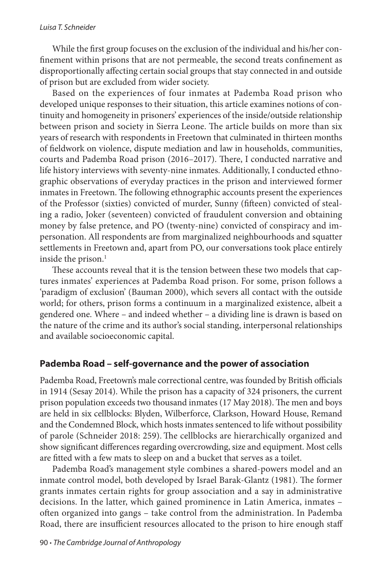#### *Luisa T. Schneider*

While the first group focuses on the exclusion of the individual and his/her confinement within prisons that are not permeable, the second treats confinement as disproportionally affecting certain social groups that stay connected in and outside of prison but are excluded from wider society.

Based on the experiences of four inmates at Pademba Road prison who developed unique responses to their situation, this article examines notions of continuity and homogeneity in prisoners' experiences of the inside/outside relationship between prison and society in Sierra Leone. The article builds on more than six years of research with respondents in Freetown that culminated in thirteen months of fieldwork on violence, dispute mediation and law in households, communities, courts and Pademba Road prison (2016–2017). There, I conducted narrative and life history interviews with seventy-nine inmates. Additionally, I conducted ethnographic observations of everyday practices in the prison and interviewed former inmates in Freetown. The following ethnographic accounts present the experiences of the Professor (sixties) convicted of murder, Sunny (fifteen) convicted of stealing a radio, Joker (seventeen) convicted of fraudulent conversion and obtaining money by false pretence, and PO (twenty-nine) convicted of conspiracy and impersonation. All respondents are from marginalized neighbourhoods and squatter settlements in Freetown and, apart from PO, our conversations took place entirely inside the prison. $<sup>1</sup>$ </sup>

These accounts reveal that it is the tension between these two models that captures inmates' experiences at Pademba Road prison. For some, prison follows a 'paradigm of exclusion' (Bauman 2000), which severs all contact with the outside world; for others, prison forms a continuum in a marginalized existence, albeit a gendered one. Where – and indeed whether – a dividing line is drawn is based on the nature of the crime and its author's social standing, interpersonal relationships and available socioeconomic capital.

## **Pademba Road – self-governance and the power of association**

Pademba Road, Freetown's male correctional centre, was founded by British officials in 1914 (Sesay 2014). While the prison has a capacity of 324 prisoners, the current prison population exceeds two thousand inmates (17 May 2018). The men and boys are held in six cellblocks: Blyden, Wilberforce, Clarkson, Howard House, Remand and the Condemned Block, which hosts inmates sentenced to life without possibility of parole (Schneider 2018: 259). The cellblocks are hierarchically organized and show significant differences regarding overcrowding, size and equipment. Most cells are fitted with a few mats to sleep on and a bucket that serves as a toilet.

Pademba Road's management style combines a shared-powers model and an inmate control model, both developed by Israel Barak-Glantz (1981). The former grants inmates certain rights for group association and a say in administrative decisions. In the latter, which gained prominence in Latin America, inmates – often organized into gangs – take control from the administration. In Pademba Road, there are insufficient resources allocated to the prison to hire enough staff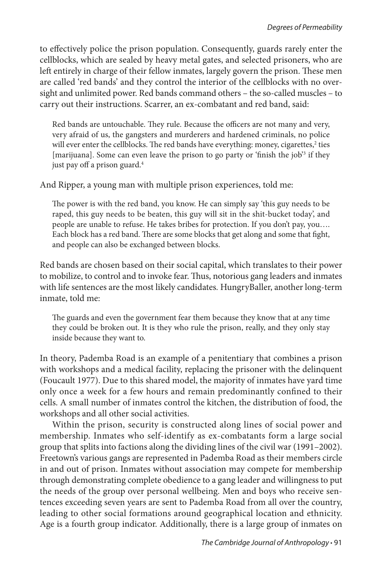to effectively police the prison population. Consequently, guards rarely enter the cellblocks, which are sealed by heavy metal gates, and selected prisoners, who are left entirely in charge of their fellow inmates, largely govern the prison. These men are called 'red bands' and they control the interior of the cellblocks with no oversight and unlimited power. Red bands command others – the so-called muscles – to carry out their instructions. Scarrer, an ex-combatant and red band, said:

Red bands are untouchable. They rule. Because the officers are not many and very, very afraid of us, the gangsters and murderers and hardened criminals, no police will ever enter the cellblocks. The red bands have everything: money, cigarettes,<sup>2</sup> ties [marijuana]. Some can even leave the prison to go party or 'finish the job'<sup>3</sup> if they just pay off a prison guard.<sup>4</sup>

And Ripper, a young man with multiple prison experiences, told me:

The power is with the red band, you know. He can simply say 'this guy needs to be raped, this guy needs to be beaten, this guy will sit in the shit-bucket today', and people are unable to refuse. He takes bribes for protection. If you don't pay, you…. Each block has a red band. There are some blocks that get along and some that fight, and people can also be exchanged between blocks.

Red bands are chosen based on their social capital, which translates to their power to mobilize, to control and to invoke fear. Thus, notorious gang leaders and inmates with life sentences are the most likely candidates*.* HungryBaller, another long-term inmate, told me:

The guards and even the government fear them because they know that at any time they could be broken out. It is they who rule the prison, really, and they only stay inside because they want to.

In theory, Pademba Road is an example of a penitentiary that combines a prison with workshops and a medical facility, replacing the prisoner with the delinquent (Foucault 1977). Due to this shared model, the majority of inmates have yard time only once a week for a few hours and remain predominantly confined to their cells. A small number of inmates control the kitchen, the distribution of food, the workshops and all other social activities.

Within the prison, security is constructed along lines of social power and membership. Inmates who self-identify as ex-combatants form a large social group that splits into factions along the dividing lines of the civil war (1991–2002). Freetown's various gangs are represented in Pademba Road as their members circle in and out of prison. Inmates without association may compete for membership through demonstrating complete obedience to a gang leader and willingness to put the needs of the group over personal wellbeing. Men and boys who receive sentences exceeding seven years are sent to Pademba Road from all over the country, leading to other social formations around geographical location and ethnicity. Age is a fourth group indicator. Additionally, there is a large group of inmates on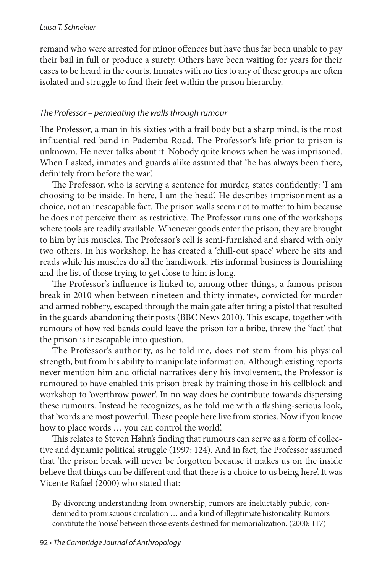remand who were arrested for minor offences but have thus far been unable to pay their bail in full or produce a surety. Others have been waiting for years for their cases to be heard in the courts. Inmates with no ties to any of these groups are often isolated and struggle to find their feet within the prison hierarchy.

## *The Professor – permeating the walls through rumour*

The Professor, a man in his sixties with a frail body but a sharp mind, is the most influential red band in Pademba Road. The Professor's life prior to prison is unknown. He never talks about it. Nobody quite knows when he was imprisoned. When I asked, inmates and guards alike assumed that 'he has always been there, definitely from before the war'.

The Professor, who is serving a sentence for murder, states confidently: 'I am choosing to be inside. In here, I am the head'. He describes imprisonment as a choice, not an inescapable fact. The prison walls seem not to matter to him because he does not perceive them as restrictive. The Professor runs one of the workshops where tools are readily available. Whenever goods enter the prison, they are brought to him by his muscles. The Professor's cell is semi-furnished and shared with only two others. In his workshop, he has created a 'chill-out space' where he sits and reads while his muscles do all the handiwork. His informal business is flourishing and the list of those trying to get close to him is long.

The Professor's influence is linked to, among other things, a famous prison break in 2010 when between nineteen and thirty inmates, convicted for murder and armed robbery, escaped through the main gate after firing a pistol that resulted in the guards abandoning their posts (BBC News 2010). This escape, together with rumours of how red bands could leave the prison for a bribe, threw the 'fact' that the prison is inescapable into question.

The Professor's authority, as he told me, does not stem from his physical strength, but from his ability to manipulate information. Although existing reports never mention him and official narratives deny his involvement, the Professor is rumoured to have enabled this prison break by training those in his cellblock and workshop to 'overthrow power'. In no way does he contribute towards dispersing these rumours. Instead he recognizes, as he told me with a flashing-serious look, that 'words are most powerful. These people here live from stories. Now if you know how to place words … you can control the world'.

This relates to Steven Hahn's finding that rumours can serve as a form of collective and dynamic political struggle (1997: 124). And in fact, the Professor assumed that 'the prison break will never be forgotten because it makes us on the inside believe that things can be different and that there is a choice to us being here'. It was Vicente Rafael (2000) who stated that:

By divorcing understanding from ownership, rumors are ineluctably public, condemned to promiscuous circulation … and a kind of illegitimate historicality. Rumors constitute the 'noise' between those events destined for memorialization. (2000: 117)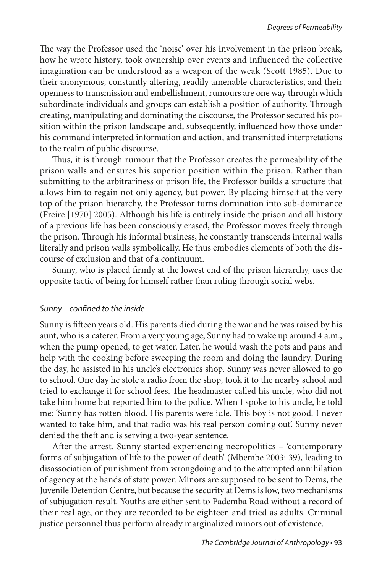The way the Professor used the 'noise' over his involvement in the prison break, how he wrote history, took ownership over events and influenced the collective imagination can be understood as a weapon of the weak (Scott 1985). Due to their anonymous, constantly altering, readily amenable characteristics, and their openness to transmission and embellishment, rumours are one way through which subordinate individuals and groups can establish a position of authority. Through creating, manipulating and dominating the discourse, the Professor secured his position within the prison landscape and, subsequently, influenced how those under his command interpreted information and action, and transmitted interpretations to the realm of public discourse.

Thus, it is through rumour that the Professor creates the permeability of the prison walls and ensures his superior position within the prison. Rather than submitting to the arbitrariness of prison life, the Professor builds a structure that allows him to regain not only agency, but power. By placing himself at the very top of the prison hierarchy, the Professor turns domination into sub-dominance (Freire [1970] 2005). Although his life is entirely inside the prison and all history of a previous life has been consciously erased, the Professor moves freely through the prison. Through his informal business, he constantly transcends internal walls literally and prison walls symbolically. He thus embodies elements of both the discourse of exclusion and that of a continuum.

Sunny, who is placed firmly at the lowest end of the prison hierarchy, uses the opposite tactic of being for himself rather than ruling through social webs.

### *Sunny – confined to the inside*

Sunny is fifteen years old. His parents died during the war and he was raised by his aunt, who is a caterer. From a very young age, Sunny had to wake up around 4 a.m., when the pump opened, to get water. Later, he would wash the pots and pans and help with the cooking before sweeping the room and doing the laundry. During the day, he assisted in his uncle's electronics shop. Sunny was never allowed to go to school. One day he stole a radio from the shop, took it to the nearby school and tried to exchange it for school fees. The headmaster called his uncle, who did not take him home but reported him to the police. When I spoke to his uncle, he told me: 'Sunny has rotten blood. His parents were idle. This boy is not good. I never wanted to take him, and that radio was his real person coming out'. Sunny never denied the theft and is serving a two-year sentence.

After the arrest, Sunny started experiencing necropolitics – 'contemporary forms of subjugation of life to the power of death' (Mbembe 2003: 39), leading to disassociation of punishment from wrongdoing and to the attempted annihilation of agency at the hands of state power. Minors are supposed to be sent to Dems, the Juvenile Detention Centre, but because the security at Dems is low, two mechanisms of subjugation result. Youths are either sent to Pademba Road without a record of their real age, or they are recorded to be eighteen and tried as adults. Criminal justice personnel thus perform already marginalized minors out of existence.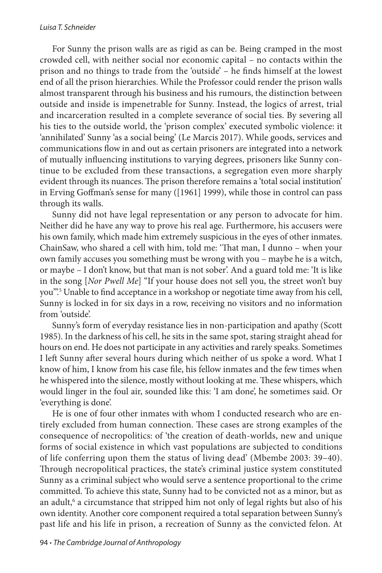#### *Luisa T. Schneider*

For Sunny the prison walls are as rigid as can be. Being cramped in the most crowded cell, with neither social nor economic capital – no contacts within the prison and no things to trade from the 'outside' – he finds himself at the lowest end of all the prison hierarchies. While the Professor could render the prison walls almost transparent through his business and his rumours, the distinction between outside and inside is impenetrable for Sunny. Instead, the logics of arrest, trial and incarceration resulted in a complete severance of social ties. By severing all his ties to the outside world, the 'prison complex' executed symbolic violence: it 'annihilated' Sunny 'as a social being' (Le Marcis 2017). While goods, services and communications flow in and out as certain prisoners are integrated into a network of mutually influencing institutions to varying degrees, prisoners like Sunny continue to be excluded from these transactions, a segregation even more sharply evident through its nuances. The prison therefore remains a 'total social institution' in Erving Goffman's sense for many ([1961] 1999), while those in control can pass through its walls.

Sunny did not have legal representation or any person to advocate for him. Neither did he have any way to prove his real age. Furthermore, his accusers were his own family, which made him extremely suspicious in the eyes of other inmates. ChainSaw, who shared a cell with him, told me: 'That man, I dunno – when your own family accuses you something must be wrong with you – maybe he is a witch, or maybe – I don't know, but that man is not sober'. And a guard told me: 'It is like in the song [*Nor Pwell Me*] "If your house does not sell you, the street won't buy you".<sup>5</sup> Unable to find acceptance in a workshop or negotiate time away from his cell, Sunny is locked in for six days in a row, receiving no visitors and no information from 'outside'.

Sunny's form of everyday resistance lies in non-participation and apathy (Scott 1985). In the darkness of his cell, he sits in the same spot, staring straight ahead for hours on end. He does not participate in any activities and rarely speaks. Sometimes I left Sunny after several hours during which neither of us spoke a word. What I know of him, I know from his case file, his fellow inmates and the few times when he whispered into the silence, mostly without looking at me. These whispers, which would linger in the foul air, sounded like this: 'I am done', he sometimes said. Or 'everything is done'.

He is one of four other inmates with whom I conducted research who are entirely excluded from human connection. These cases are strong examples of the consequence of necropolitics: of 'the creation of death-worlds, new and unique forms of social existence in which vast populations are subjected to conditions of life conferring upon them the status of living dead' (Mbembe 2003: 39–40). Through necropolitical practices, the state's criminal justice system constituted Sunny as a criminal subject who would serve a sentence proportional to the crime committed. To achieve this state, Sunny had to be convicted not as a minor, but as an adult,<sup>6</sup> a circumstance that stripped him not only of legal rights but also of his own identity. Another core component required a total separation between Sunny's past life and his life in prison, a recreation of Sunny as the convicted felon. At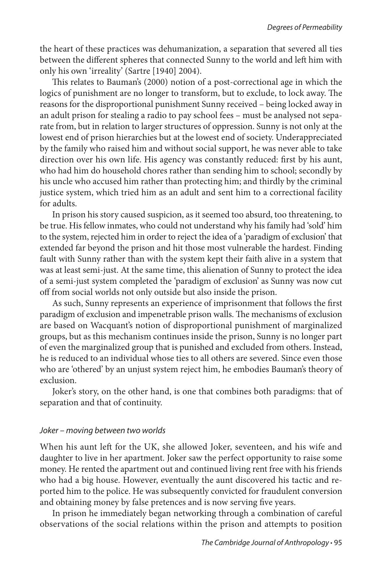the heart of these practices was dehumanization, a separation that severed all ties between the different spheres that connected Sunny to the world and left him with only his own 'irreality' (Sartre [1940] 2004).

This relates to Bauman's (2000) notion of a post-correctional age in which the logics of punishment are no longer to transform, but to exclude, to lock away. The reasons for the disproportional punishment Sunny received – being locked away in an adult prison for stealing a radio to pay school fees – must be analysed not separate from, but in relation to larger structures of oppression. Sunny is not only at the lowest end of prison hierarchies but at the lowest end of society. Underappreciated by the family who raised him and without social support, he was never able to take direction over his own life. His agency was constantly reduced: first by his aunt, who had him do household chores rather than sending him to school; secondly by his uncle who accused him rather than protecting him; and thirdly by the criminal justice system, which tried him as an adult and sent him to a correctional facility for adults.

In prison his story caused suspicion, as it seemed too absurd, too threatening, to be true. His fellow inmates, who could not understand why his family had 'sold' him to the system, rejected him in order to reject the idea of a 'paradigm of exclusion' that extended far beyond the prison and hit those most vulnerable the hardest. Finding fault with Sunny rather than with the system kept their faith alive in a system that was at least semi-just. At the same time, this alienation of Sunny to protect the idea of a semi-just system completed the 'paradigm of exclusion' as Sunny was now cut off from social worlds not only outside but also inside the prison.

As such, Sunny represents an experience of imprisonment that follows the first paradigm of exclusion and impenetrable prison walls. The mechanisms of exclusion are based on Wacquant's notion of disproportional punishment of marginalized groups, but as this mechanism continues inside the prison, Sunny is no longer part of even the marginalized group that is punished and excluded from others. Instead, he is reduced to an individual whose ties to all others are severed. Since even those who are 'othered' by an unjust system reject him, he embodies Bauman's theory of exclusion.

Joker's story, on the other hand, is one that combines both paradigms: that of separation and that of continuity.

### *Joker – moving between two worlds*

When his aunt left for the UK, she allowed Joker, seventeen, and his wife and daughter to live in her apartment. Joker saw the perfect opportunity to raise some money. He rented the apartment out and continued living rent free with his friends who had a big house. However, eventually the aunt discovered his tactic and reported him to the police. He was subsequently convicted for fraudulent conversion and obtaining money by false pretences and is now serving five years.

In prison he immediately began networking through a combination of careful observations of the social relations within the prison and attempts to position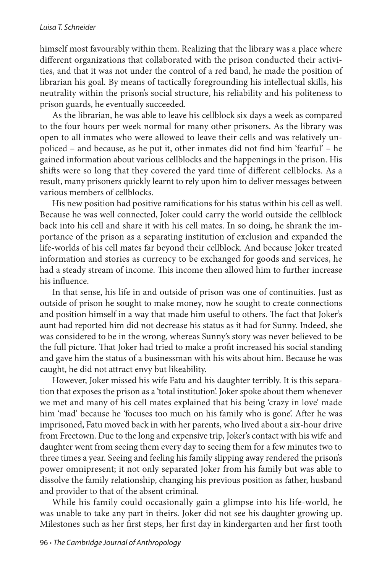himself most favourably within them. Realizing that the library was a place where different organizations that collaborated with the prison conducted their activities, and that it was not under the control of a red band, he made the position of librarian his goal. By means of tactically foregrounding his intellectual skills, his neutrality within the prison's social structure, his reliability and his politeness to prison guards, he eventually succeeded.

As the librarian, he was able to leave his cellblock six days a week as compared to the four hours per week normal for many other prisoners. As the library was open to all inmates who were allowed to leave their cells and was relatively unpoliced – and because, as he put it, other inmates did not find him 'fearful' – he gained information about various cellblocks and the happenings in the prison. His shifts were so long that they covered the yard time of different cellblocks. As a result, many prisoners quickly learnt to rely upon him to deliver messages between various members of cellblocks.

His new position had positive ramifications for his status within his cell as well. Because he was well connected, Joker could carry the world outside the cellblock back into his cell and share it with his cell mates. In so doing, he shrank the importance of the prison as a separating institution of exclusion and expanded the life-worlds of his cell mates far beyond their cellblock. And because Joker treated information and stories as currency to be exchanged for goods and services, he had a steady stream of income. This income then allowed him to further increase his influence.

In that sense, his life in and outside of prison was one of continuities. Just as outside of prison he sought to make money, now he sought to create connections and position himself in a way that made him useful to others. The fact that Joker's aunt had reported him did not decrease his status as it had for Sunny. Indeed, she was considered to be in the wrong, whereas Sunny's story was never believed to be the full picture. That Joker had tried to make a profit increased his social standing and gave him the status of a businessman with his wits about him. Because he was caught, he did not attract envy but likeability.

However, Joker missed his wife Fatu and his daughter terribly. It is this separation that exposes the prison as a 'total institution'. Joker spoke about them whenever we met and many of his cell mates explained that his being 'crazy in love' made him 'mad' because he 'focuses too much on his family who is gone'. After he was imprisoned, Fatu moved back in with her parents, who lived about a six-hour drive from Freetown. Due to the long and expensive trip, Joker's contact with his wife and daughter went from seeing them every day to seeing them for a few minutes two to three times a year. Seeing and feeling his family slipping away rendered the prison's power omnipresent; it not only separated Joker from his family but was able to dissolve the family relationship, changing his previous position as father, husband and provider to that of the absent criminal.

While his family could occasionally gain a glimpse into his life-world, he was unable to take any part in theirs. Joker did not see his daughter growing up. Milestones such as her first steps, her first day in kindergarten and her first tooth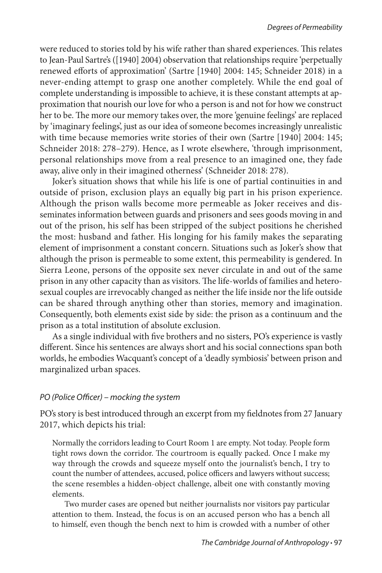were reduced to stories told by his wife rather than shared experiences. This relates to Jean-Paul Sartre's ([1940] 2004) observation that relationships require 'perpetually renewed efforts of approximation' (Sartre [1940] 2004: 145; Schneider 2018) in a never-ending attempt to grasp one another completely. While the end goal of complete understanding is impossible to achieve, it is these constant attempts at approximation that nourish our love for who a person is and not for how we construct her to be. The more our memory takes over, the more 'genuine feelings' are replaced by 'imaginary feelings', just as our idea of someone becomes increasingly unrealistic with time because memories write stories of their own (Sartre [1940] 2004: 145; Schneider 2018: 278–279). Hence, as I wrote elsewhere, 'through imprisonment, personal relationships move from a real presence to an imagined one, they fade away, alive only in their imagined otherness' (Schneider 2018: 278).

Joker's situation shows that while his life is one of partial continuities in and outside of prison, exclusion plays an equally big part in his prison experience. Although the prison walls become more permeable as Joker receives and disseminates information between guards and prisoners and sees goods moving in and out of the prison, his self has been stripped of the subject positions he cherished the most: husband and father. His longing for his family makes the separating element of imprisonment a constant concern. Situations such as Joker's show that although the prison is permeable to some extent, this permeability is gendered. In Sierra Leone, persons of the opposite sex never circulate in and out of the same prison in any other capacity than as visitors. The life-worlds of families and heterosexual couples are irrevocably changed as neither the life inside nor the life outside can be shared through anything other than stories, memory and imagination. Consequently, both elements exist side by side: the prison as a continuum and the prison as a total institution of absolute exclusion.

As a single individual with five brothers and no sisters, PO's experience is vastly different. Since his sentences are always short and his social connections span both worlds, he embodies Wacquant's concept of a 'deadly symbiosis' between prison and marginalized urban spaces.

## *PO (Police Officer) – mocking the system*

PO's story is best introduced through an excerpt from my fieldnotes from 27 January 2017, which depicts his trial:

Normally the corridors leading to Court Room 1 are empty. Not today. People form tight rows down the corridor. The courtroom is equally packed. Once I make my way through the crowds and squeeze myself onto the journalist's bench, I try to count the number of attendees, accused, police officers and lawyers without success; the scene resembles a hidden-object challenge, albeit one with constantly moving elements.

Two murder cases are opened but neither journalists nor visitors pay particular attention to them. Instead, the focus is on an accused person who has a bench all to himself, even though the bench next to him is crowded with a number of other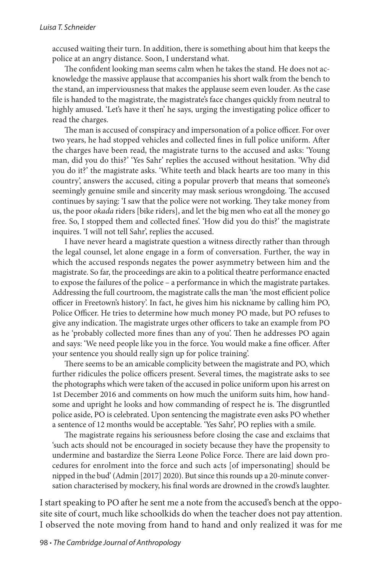accused waiting their turn. In addition, there is something about him that keeps the police at an angry distance. Soon, I understand what.

The confident looking man seems calm when he takes the stand. He does not acknowledge the massive applause that accompanies his short walk from the bench to the stand, an imperviousness that makes the applause seem even louder. As the case file is handed to the magistrate, the magistrate's face changes quickly from neutral to highly amused. 'Let's have it then' he says, urging the investigating police officer to read the charges.

The man is accused of conspiracy and impersonation of a police officer. For over two years, he had stopped vehicles and collected fines in full police uniform. After the charges have been read, the magistrate turns to the accused and asks: 'Young man, did you do this?' 'Yes Sahr' replies the accused without hesitation. 'Why did you do it?' the magistrate asks. 'White teeth and black hearts are too many in this country', answers the accused, citing a popular proverb that means that someone's seemingly genuine smile and sincerity may mask serious wrongdoing. The accused continues by saying: 'I saw that the police were not working. They take money from us, the poor *okada* riders [bike riders], and let the big men who eat all the money go free. So, I stopped them and collected fines'. 'How did you do this?' the magistrate inquires. 'I will not tell Sahr', replies the accused.

I have never heard a magistrate question a witness directly rather than through the legal counsel, let alone engage in a form of conversation. Further, the way in which the accused responds negates the power asymmetry between him and the magistrate. So far, the proceedings are akin to a political theatre performance enacted to expose the failures of the police – a performance in which the magistrate partakes. Addressing the full courtroom, the magistrate calls the man 'the most efficient police officer in Freetown's history'. In fact, he gives him his nickname by calling him PO, Police Officer. He tries to determine how much money PO made, but PO refuses to give any indication. The magistrate urges other officers to take an example from PO as he 'probably collected more fines than any of you'. Then he addresses PO again and says: 'We need people like you in the force. You would make a fine officer. After your sentence you should really sign up for police training'.

There seems to be an amicable complicity between the magistrate and PO, which further ridicules the police officers present. Several times, the magistrate asks to see the photographs which were taken of the accused in police uniform upon his arrest on 1st December 2016 and comments on how much the uniform suits him, how handsome and upright he looks and how commanding of respect he is. The disgruntled police aside, PO is celebrated. Upon sentencing the magistrate even asks PO whether a sentence of 12 months would be acceptable. 'Yes Sahr', PO replies with a smile.

The magistrate regains his seriousness before closing the case and exclaims that 'such acts should not be encouraged in society because they have the propensity to undermine and bastardize the Sierra Leone Police Force. There are laid down procedures for enrolment into the force and such acts [of impersonating] should be nipped in the bud' (Admin [2017] 2020). But since this rounds up a 20-minute conversation characterised by mockery, his final words are drowned in the crowd's laughter.

I start speaking to PO after he sent me a note from the accused's bench at the opposite site of court, much like schoolkids do when the teacher does not pay attention. I observed the note moving from hand to hand and only realized it was for me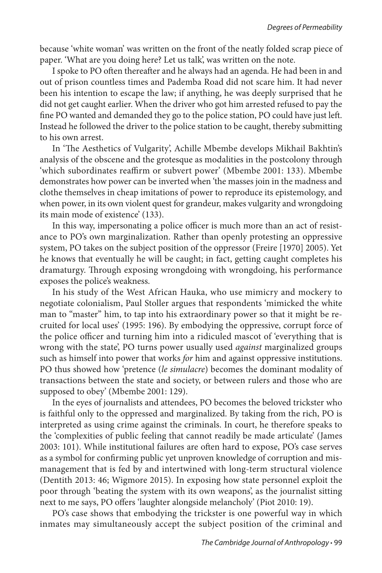because 'white woman' was written on the front of the neatly folded scrap piece of paper. 'What are you doing here? Let us talk', was written on the note.

I spoke to PO often thereafter and he always had an agenda. He had been in and out of prison countless times and Pademba Road did not scare him. It had never been his intention to escape the law; if anything, he was deeply surprised that he did not get caught earlier. When the driver who got him arrested refused to pay the fine PO wanted and demanded they go to the police station, PO could have just left. Instead he followed the driver to the police station to be caught, thereby submitting to his own arrest.

In 'The Aesthetics of Vulgarity', Achille Mbembe develops Mikhail Bakhtin's analysis of the obscene and the grotesque as modalities in the postcolony through 'which subordinates reaffirm or subvert power' (Mbembe 2001: 133). Mbembe demonstrates how power can be inverted when 'the masses join in the madness and clothe themselves in cheap imitations of power to reproduce its epistemology, and when power, in its own violent quest for grandeur, makes vulgarity and wrongdoing its main mode of existence' (133).

In this way, impersonating a police officer is much more than an act of resistance to PO's own marginalization. Rather than openly protesting an oppressive system, PO takes on the subject position of the oppressor (Freire [1970] 2005). Yet he knows that eventually he will be caught; in fact, getting caught completes his dramaturgy. Through exposing wrongdoing with wrongdoing, his performance exposes the police's weakness.

In his study of the West African Hauka, who use mimicry and mockery to negotiate colonialism, Paul Stoller argues that respondents 'mimicked the white man to "master" him, to tap into his extraordinary power so that it might be recruited for local uses' (1995: 196). By embodying the oppressive, corrupt force of the police officer and turning him into a ridiculed mascot of 'everything that is wrong with the state', PO turns power usually used *against* marginalized groups such as himself into power that works *for* him and against oppressive institutions. PO thus showed how 'pretence (*le simulacre*) becomes the dominant modality of transactions between the state and society, or between rulers and those who are supposed to obey' (Mbembe 2001: 129).

In the eyes of journalists and attendees, PO becomes the beloved trickster who is faithful only to the oppressed and marginalized. By taking from the rich, PO is interpreted as using crime against the criminals. In court, he therefore speaks to the 'complexities of public feeling that cannot readily be made articulate' (James 2003: 101). While institutional failures are often hard to expose, PO's case serves as a symbol for confirming public yet unproven knowledge of corruption and mismanagement that is fed by and intertwined with long-term structural violence (Dentith 2013: 46; Wigmore 2015). In exposing how state personnel exploit the poor through 'beating the system with its own weapons', as the journalist sitting next to me says, PO offers 'laughter alongside melancholy' (Piot 2010: 19).

PO's case shows that embodying the trickster is one powerful way in which inmates may simultaneously accept the subject position of the criminal and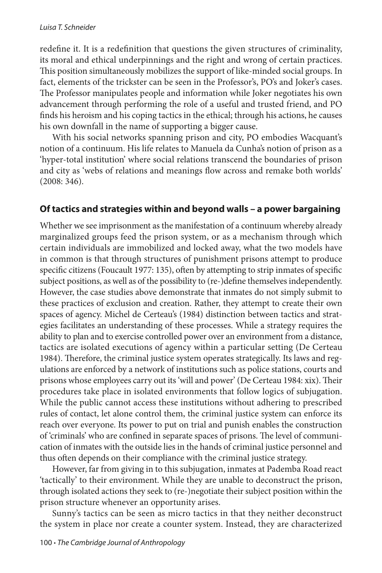redefine it. It is a redefinition that questions the given structures of criminality, its moral and ethical underpinnings and the right and wrong of certain practices. This position simultaneously mobilizes the support of like-minded social groups. In fact, elements of the trickster can be seen in the Professor's, PO's and Joker's cases. The Professor manipulates people and information while Joker negotiates his own advancement through performing the role of a useful and trusted friend, and PO finds his heroism and his coping tactics in the ethical; through his actions, he causes his own downfall in the name of supporting a bigger cause.

With his social networks spanning prison and city, PO embodies Wacquant's notion of a continuum. His life relates to Manuela da Cunha's notion of prison as a 'hyper-total institution' where social relations transcend the boundaries of prison and city as 'webs of relations and meanings flow across and remake both worlds' (2008: 346).

# **Of tactics and strategies within and beyond walls – a power bargaining**

Whether we see imprisonment as the manifestation of a continuum whereby already marginalized groups feed the prison system, or as a mechanism through which certain individuals are immobilized and locked away, what the two models have in common is that through structures of punishment prisons attempt to produce specific citizens (Foucault 1977: 135), often by attempting to strip inmates of specific subject positions, as well as of the possibility to (re-)define themselves independently. However, the case studies above demonstrate that inmates do not simply submit to these practices of exclusion and creation. Rather, they attempt to create their own spaces of agency. Michel de Certeau's (1984) distinction between tactics and strategies facilitates an understanding of these processes. While a strategy requires the ability to plan and to exercise controlled power over an environment from a distance, tactics are isolated executions of agency within a particular setting (De Certeau 1984). Therefore, the criminal justice system operates strategically. Its laws and regulations are enforced by a network of institutions such as police stations, courts and prisons whose employees carry out its 'will and power' (De Certeau 1984: xix). Their procedures take place in isolated environments that follow logics of subjugation. While the public cannot access these institutions without adhering to prescribed rules of contact, let alone control them, the criminal justice system can enforce its reach over everyone. Its power to put on trial and punish enables the construction of 'criminals' who are confined in separate spaces of prisons. The level of communication of inmates with the outside lies in the hands of criminal justice personnel and thus often depends on their compliance with the criminal justice strategy.

However, far from giving in to this subjugation, inmates at Pademba Road react 'tactically' to their environment. While they are unable to deconstruct the prison, through isolated actions they seek to (re-)negotiate their subject position within the prison structure whenever an opportunity arises.

Sunny's tactics can be seen as micro tactics in that they neither deconstruct the system in place nor create a counter system. Instead, they are characterized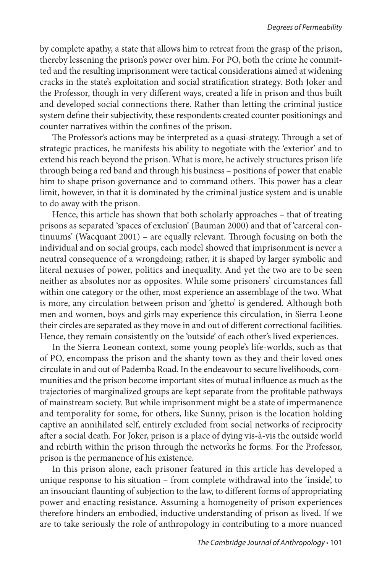by complete apathy, a state that allows him to retreat from the grasp of the prison, thereby lessening the prison's power over him. For PO, both the crime he committed and the resulting imprisonment were tactical considerations aimed at widening cracks in the state's exploitation and social stratification strategy. Both Joker and the Professor, though in very different ways, created a life in prison and thus built and developed social connections there. Rather than letting the criminal justice system define their subjectivity, these respondents created counter positionings and counter narratives within the confines of the prison.

The Professor's actions may be interpreted as a quasi-strategy. Through a set of strategic practices, he manifests his ability to negotiate with the 'exterior' and to extend his reach beyond the prison. What is more, he actively structures prison life through being a red band and through his business – positions of power that enable him to shape prison governance and to command others. This power has a clear limit, however, in that it is dominated by the criminal justice system and is unable to do away with the prison.

Hence, this article has shown that both scholarly approaches – that of treating prisons as separated 'spaces of exclusion' (Bauman 2000) and that of 'carceral continuums' (Wacquant 2001) – are equally relevant. Through focusing on both the individual and on social groups, each model showed that imprisonment is never a neutral consequence of a wrongdoing; rather, it is shaped by larger symbolic and literal nexuses of power, politics and inequality. And yet the two are to be seen neither as absolutes nor as opposites. While some prisoners' circumstances fall within one category or the other, most experience an assemblage of the two. What is more, any circulation between prison and 'ghetto' is gendered. Although both men and women, boys and girls may experience this circulation, in Sierra Leone their circles are separated as they move in and out of different correctional facilities. Hence, they remain consistently on the 'outside' of each other's lived experiences.

In the Sierra Leonean context, some young people's life-worlds, such as that of PO, encompass the prison and the shanty town as they and their loved ones circulate in and out of Pademba Road. In the endeavour to secure livelihoods, communities and the prison become important sites of mutual influence as much as the trajectories of marginalized groups are kept separate from the profitable pathways of mainstream society. But while imprisonment might be a state of impermanence and temporality for some, for others, like Sunny, prison is the location holding captive an annihilated self, entirely excluded from social networks of reciprocity after a social death. For Joker, prison is a place of dying vis-à-vis the outside world and rebirth within the prison through the networks he forms. For the Professor, prison is the permanence of his existence.

In this prison alone, each prisoner featured in this article has developed a unique response to his situation – from complete withdrawal into the 'inside', to an insouciant flaunting of subjection to the law, to different forms of appropriating power and enacting resistance. Assuming a homogeneity of prison experiences therefore hinders an embodied, inductive understanding of prison as lived. If we are to take seriously the role of anthropology in contributing to a more nuanced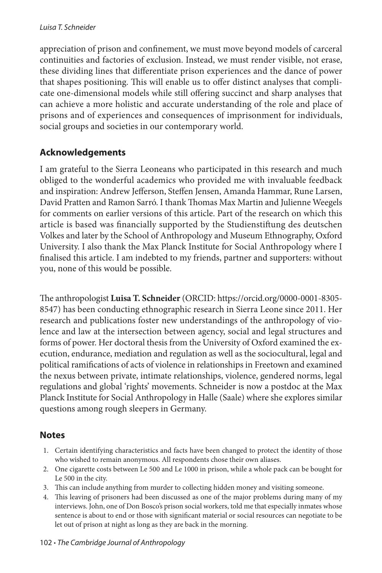appreciation of prison and confinement, we must move beyond models of carceral continuities and factories of exclusion. Instead, we must render visible, not erase, these dividing lines that differentiate prison experiences and the dance of power that shapes positioning. This will enable us to offer distinct analyses that complicate one-dimensional models while still offering succinct and sharp analyses that can achieve a more holistic and accurate understanding of the role and place of prisons and of experiences and consequences of imprisonment for individuals, social groups and societies in our contemporary world.

# **Acknowledgements**

I am grateful to the Sierra Leoneans who participated in this research and much obliged to the wonderful academics who provided me with invaluable feedback and inspiration: Andrew Jefferson, Steffen Jensen, Amanda Hammar, Rune Larsen, David Pratten and Ramon Sarró. I thank Thomas Max Martin and Julienne Weegels for comments on earlier versions of this article. Part of the research on which this article is based was financially supported by the Studienstiftung des deutschen Volkes and later by the School of Anthropology and Museum Ethnography, Oxford University. I also thank the Max Planck Institute for Social Anthropology where I finalised this article. I am indebted to my friends, partner and supporters: without you, none of this would be possible.

The anthropologist **Luisa T. Schneider** (ORCID: https://orcid.org/0000-0001-8305-8547) has been conducting ethnographic research in Sierra Leone since 2011. Her research and publications foster new understandings of the anthropology of violence and law at the intersection between agency, social and legal structures and forms of power. Her doctoral thesis from the University of Oxford examined the execution, endurance, mediation and regulation as well as the sociocultural, legal and political ramifications of acts of violence in relationships in Freetown and examined the nexus between private, intimate relationships, violence, gendered norms, legal regulations and global 'rights' movements. Schneider is now a postdoc at the Max Planck Institute for Social Anthropology in Halle (Saale) where she explores similar questions among rough sleepers in Germany.

# **Notes**

- 1. Certain identifying characteristics and facts have been changed to protect the identity of those who wished to remain anonymous. All respondents chose their own aliases.
- 2. One cigarette costs between Le 500 and Le 1000 in prison, while a whole pack can be bought for Le 500 in the city.
- 3. This can include anything from murder to collecting hidden money and visiting someone.
- 4. This leaving of prisoners had been discussed as one of the major problems during many of my interviews. John, one of Don Bosco's prison social workers, told me that especially inmates whose sentence is about to end or those with significant material or social resources can negotiate to be let out of prison at night as long as they are back in the morning.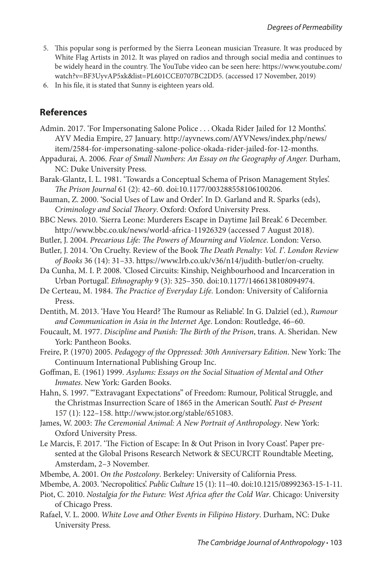- 5. This popular song is performed by the Sierra Leonean musician Treasure. It was produced by White Flag Artists in 2012. It was played on radios and through social media and continues to be widely heard in the country. The YouTube video can be seen here: [https://www.youtube.com/](https://www.youtube.com/watch?v=BF3UyvAP5xk&list=PL601CCE0707BC2DD5) [watch?v=BF3UyvAP5xk&list=PL601CCE0707BC2DD5](https://www.youtube.com/watch?v=BF3UyvAP5xk&list=PL601CCE0707BC2DD5). (accessed 17 November, 2019)
- 6. In his file, it is stated that Sunny is eighteen years old.

## **References**

Admin. 2017. 'For Impersonating Salone Police . . . Okada Rider Jailed for 12 Months'. AYV Media Empire, 27 January. http://ayvnews.com/AYVNews/index.php/news/ item/2584-for-impersonating-salone-police-okada-rider-jailed-for-12-months.

Appadurai, A. 2006. *Fear of Small Numbers: An Essay on the Geography of Anger.* Durham, NC: Duke University Press.

- Barak-Glantz, I. L. 1981. 'Towards a Conceptual Schema of Prison Management Styles'. *The Prison Journal* 61 (2): 42–60. doi:10.1177/003288558106100206.
- Bauman, Z. 2000. 'Social Uses of Law and Order'. In D. Garland and R. Sparks (eds), *Criminology and Social Theory*. Oxford: Oxford University Press.
- BBC News. 2010. 'Sierra Leone: Murderers Escape in Daytime Jail Break'. 6 December. http://www.bbc.co.uk/news/world-africa-11926329 (accessed 7 August 2018).
- Butler, J. 2004. *Precarious Life: The Powers of Mourning and Violence*. London: Verso.
- Butler, J. 2014. 'On Cruelty. Review of the Book *The Death Penalty: Vol. I'*. *London Review of Books* 36 (14): 31–33. https://www.lrb.co.uk/v36/n14/judith-butler/on-cruelty.
- Da Cunha, M. I. P. 2008. 'Closed Circuits: Kinship, Neighbourhood and Incarceration in Urban Portugal'. *Ethnography* 9 (3): 325–350. doi:10.1177/1466138108094974.
- De Certeau, M. 1984. *The Practice of Everyday Life.* London: University of California Press.

Dentith, M. 2013. 'Have You Heard? The Rumour as Reliable'. In G. Dalziel (ed.), *Rumour and Communication in Asia in the Internet Age*. London: Routledge, 46–60.

- Foucault, M. 1977. *Discipline and Punish: The Birth of the Prison*, trans. A. Sheridan. New York: Pantheon Books.
- Freire, P. (1970) 2005. *Pedagogy of the Oppressed: 30th Anniversary Edition*. New York: The Continuum International Publishing Group Inc.
- Goffman, E. (1961) 1999. *Asylums: Essays on the Social Situation of Mental and Other Inmates*. New York: Garden Books.
- Hahn, S. 1997. '"Extravagant Expectations" of Freedom: Rumour, Political Struggle, and the Christmas Insurrection Scare of 1865 in the American South'. *Past & Present* 157 (1): 122–158. http://www.jstor.org/stable/651083.
- James, W. 2003: *The Ceremonial Animal: A New Portrait of Anthropology*. New York: Oxford University Press.
- Le Marcis, F. 2017. 'The Fiction of Escape: In & Out Prison in Ivory Coast'. Paper presented at the Global Prisons Research Network & SECURCIT Roundtable Meeting, Amsterdam, 2–3 November.

Mbembe, A. 2001. *On the Postcolony*. Berkeley: University of California Press.

Mbembe, A. 2003. 'Necropolitics'. *Public Culture* 15 (1): 11–40. doi:10.1215/08992363-15-1-11.

- Piot, C. 2010. *Nostalgia for the Future: West Africa after the Cold War*. Chicago: University of Chicago Press.
- Rafael, V. L. 2000. *White Love and Other Events in Filipino History*. Durham, NC: Duke University Press.